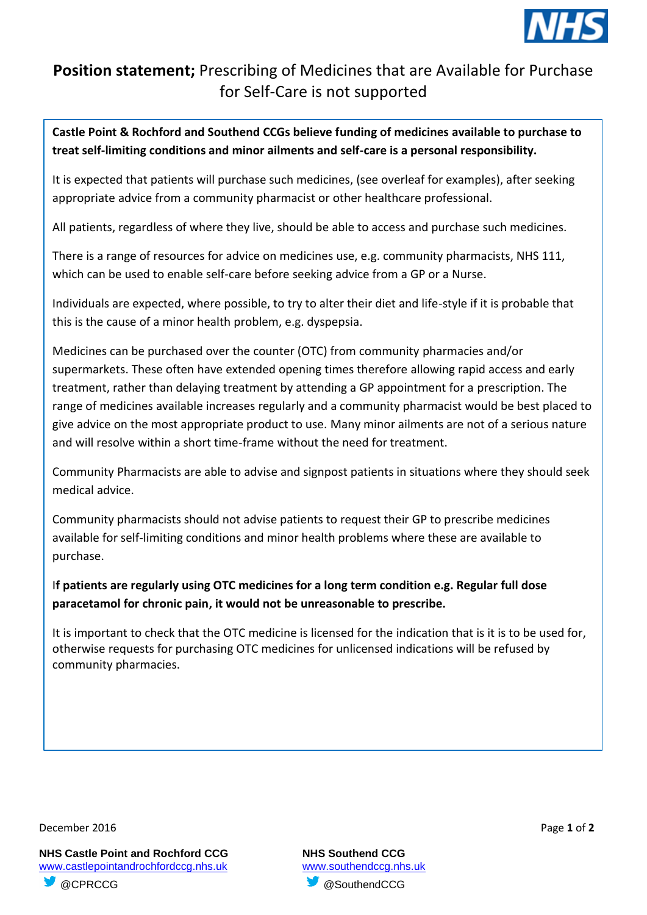

## **Position statement;** Prescribing of Medicines that are Available for Purchase for Self-Care is not supported

**Castle Point & Rochford and Southend CCGs believe funding of medicines available to purchase to treat self-limiting conditions and minor ailments and self-care is a personal responsibility.** 

It is expected that patients will purchase such medicines, (see overleaf for examples), after seeking appropriate advice from a community pharmacist or other healthcare professional.

All patients, regardless of where they live, should be able to access and purchase such medicines.

There is a range of resources for advice on medicines use, e.g. community pharmacists, NHS 111, which can be used to enable self-care before seeking advice from a GP or a Nurse.

Individuals are expected, where possible, to try to alter their diet and life-style if it is probable that this is the cause of a minor health problem, e.g. dyspepsia.

Medicines can be purchased over the counter (OTC) from community pharmacies and/or supermarkets. These often have extended opening times therefore allowing rapid access and early treatment, rather than delaying treatment by attending a GP appointment for a prescription. The range of medicines available increases regularly and a community pharmacist would be best placed to give advice on the most appropriate product to use. Many minor ailments are not of a serious nature and will resolve within a short time-frame without the need for treatment.

Community Pharmacists are able to advise and signpost patients in situations where they should seek medical advice.

Community pharmacists should not advise patients to request their GP to prescribe medicines available for self-limiting conditions and minor health problems where these are available to purchase.

I**f patients are regularly using OTC medicines for a long term condition e.g. Regular full dose paracetamol for chronic pain, it would not be unreasonable to prescribe.** 

It is important to check that the OTC medicine is licensed for the indication that is it is to be used for, otherwise requests for purchasing OTC medicines for unlicensed indications will be refused by community pharmacies.

December 2016 Page **1** of **2**

**NHS Castle Point and Rochford CCG NHS Southend CCG** www.castlepointandrochfordccg.nhs.uk